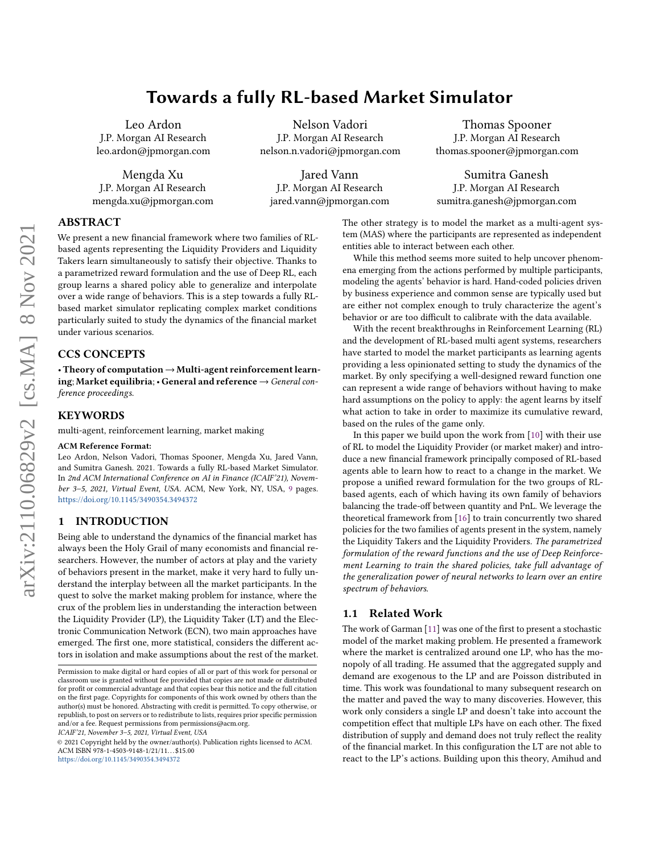# Towards a fully RL-based Market Simulator

Leo Ardon J.P. Morgan AI Research leo.ardon@jpmorgan.com

Mengda Xu J.P. Morgan AI Research mengda.xu@jpmorgan.com

Nelson Vadori J.P. Morgan AI Research nelson.n.vadori@jpmorgan.com

Jared Vann J.P. Morgan AI Research jared.vann@jpmorgan.com

Thomas Spooner J.P. Morgan AI Research thomas.spooner@jpmorgan.com

Sumitra Ganesh J.P. Morgan AI Research sumitra.ganesh@jpmorgan.com

# ABSTRACT

We present a new financial framework where two families of RLbased agents representing the Liquidity Providers and Liquidity Takers learn simultaneously to satisfy their objective. Thanks to a parametrized reward formulation and the use of Deep RL, each group learns a shared policy able to generalize and interpolate over a wide range of behaviors. This is a step towards a fully RLbased market simulator replicating complex market conditions particularly suited to study the dynamics of the financial market under various scenarios.

# CCS CONCEPTS

• Theory of computation  $\rightarrow$  Multi-agent reinforcement learning; Market equilibria;  $\cdot$  General and reference  $\rightarrow$  General conference proceedings.

# **KEYWORDS**

multi-agent, reinforcement learning, market making

#### ACM Reference Format:

Leo Ardon, Nelson Vadori, Thomas Spooner, Mengda Xu, Jared Vann, and Sumitra Ganesh. 2021. Towards a fully RL-based Market Simulator. In 2nd ACM International Conference on AI in Finance (ICAIF'21), November 3–5, 2021, Virtual Event, USA. ACM, New York, NY, USA, [9](#page-8-0) pages. <https://doi.org/10.1145/3490354.3494372>

# 1 INTRODUCTION

Being able to understand the dynamics of the financial market has always been the Holy Grail of many economists and financial researchers. However, the number of actors at play and the variety of behaviors present in the market, make it very hard to fully understand the interplay between all the market participants. In the quest to solve the market making problem for instance, where the crux of the problem lies in understanding the interaction between the Liquidity Provider (LP), the Liquidity Taker (LT) and the Electronic Communication Network (ECN), two main approaches have emerged. The first one, more statistical, considers the different actors in isolation and make assumptions about the rest of the market.

ICAIF'21, November 3–5, 2021, Virtual Event, USA

© 2021 Copyright held by the owner/author(s). Publication rights licensed to ACM. ACM ISBN 978-1-4503-9148-1/21/11...\$15.00 <https://doi.org/10.1145/3490354.3494372>

The other strategy is to model the market as a multi-agent system (MAS) where the participants are represented as independent entities able to interact between each other.

While this method seems more suited to help uncover phenomena emerging from the actions performed by multiple participants, modeling the agents' behavior is hard. Hand-coded policies driven by business experience and common sense are typically used but are either not complex enough to truly characterize the agent's behavior or are too difficult to calibrate with the data available.

With the recent breakthroughs in Reinforcement Learning (RL) and the development of RL-based multi agent systems, researchers have started to model the market participants as learning agents providing a less opinionated setting to study the dynamics of the market. By only specifying a well-designed reward function one can represent a wide range of behaviors without having to make hard assumptions on the policy to apply: the agent learns by itself what action to take in order to maximize its cumulative reward, based on the rules of the game only.

In this paper we build upon the work from [\[10\]](#page-7-0) with their use of RL to model the Liquidity Provider (or market maker) and introduce a new financial framework principally composed of RL-based agents able to learn how to react to a change in the market. We propose a unified reward formulation for the two groups of RLbased agents, each of which having its own family of behaviors balancing the trade-off between quantity and PnL. We leverage the theoretical framework from [\[16\]](#page-7-1) to train concurrently two shared policies for the two families of agents present in the system, namely the Liquidity Takers and the Liquidity Providers. The parametrized formulation of the reward functions and the use of Deep Reinforcement Learning to train the shared policies, take full advantage of the generalization power of neural networks to learn over an entire spectrum of behaviors.

## 1.1 Related Work

The work of Garman [\[11\]](#page-7-2) was one of the first to present a stochastic model of the market making problem. He presented a framework where the market is centralized around one LP, who has the monopoly of all trading. He assumed that the aggregated supply and demand are exogenous to the LP and are Poisson distributed in time. This work was foundational to many subsequent research on the matter and paved the way to many discoveries. However, this work only considers a single LP and doesn't take into account the competition effect that multiple LPs have on each other. The fixed distribution of supply and demand does not truly reflect the reality of the financial market. In this configuration the LT are not able to react to the LP's actions. Building upon this theory, Amihud and

Permission to make digital or hard copies of all or part of this work for personal or classroom use is granted without fee provided that copies are not made or distributed for profit or commercial advantage and that copies bear this notice and the full citation on the first page. Copyrights for components of this work owned by others than the author(s) must be honored. Abstracting with credit is permitted. To copy otherwise, or republish, to post on servers or to redistribute to lists, requires prior specific permission and/or a fee. Request permissions from permissions@acm.org.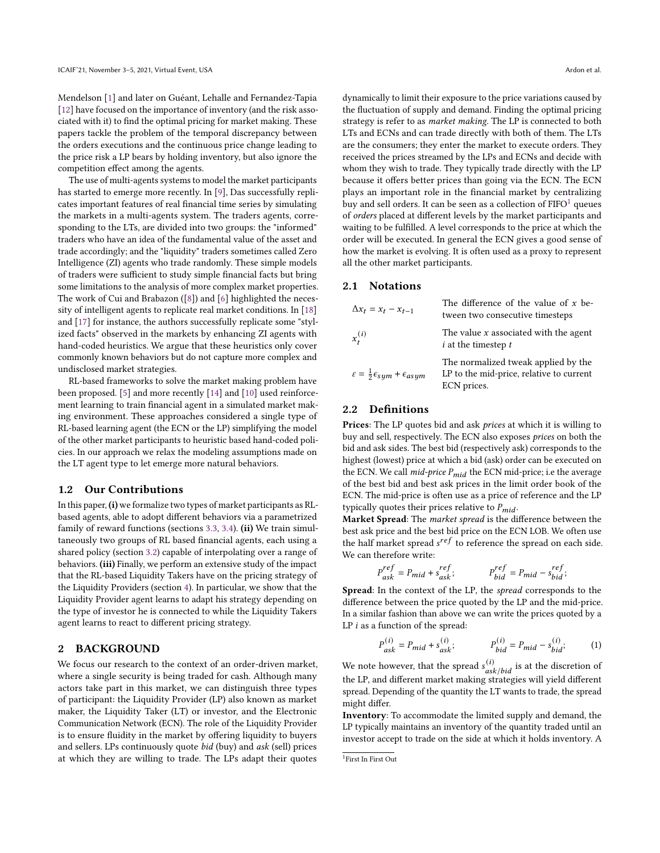Mendelson [\[1\]](#page-7-3) and later on Guéant, Lehalle and Fernandez-Tapia [\[12\]](#page-7-4) have focused on the importance of inventory (and the risk associated with it) to find the optimal pricing for market making. These papers tackle the problem of the temporal discrepancy between the orders executions and the continuous price change leading to the price risk a LP bears by holding inventory, but also ignore the competition effect among the agents.

The use of multi-agents systems to model the market participants has started to emerge more recently. In [\[9\]](#page-7-5), Das successfully replicates important features of real financial time series by simulating the markets in a multi-agents system. The traders agents, corresponding to the LTs, are divided into two groups: the "informed" traders who have an idea of the fundamental value of the asset and trade accordingly; and the "liquidity" traders sometimes called Zero Intelligence (ZI) agents who trade randomly. These simple models of traders were sufficient to study simple financial facts but bring some limitations to the analysis of more complex market properties. The work of Cui and Brabazon ([\[8\]](#page-7-6)) and [\[6\]](#page-7-7) highlighted the necessity of intelligent agents to replicate real market conditions. In [\[18\]](#page-8-1) and [\[17\]](#page-8-2) for instance, the authors successfully replicate some "stylized facts" observed in the markets by enhancing ZI agents with hand-coded heuristics. We argue that these heuristics only cover commonly known behaviors but do not capture more complex and undisclosed market strategies.

RL-based frameworks to solve the market making problem have been proposed. [\[5\]](#page-7-8) and more recently [\[14\]](#page-7-9) and [\[10\]](#page-7-0) used reinforcement learning to train financial agent in a simulated market making environment. These approaches considered a single type of RL-based learning agent (the ECN or the LP) simplifying the model of the other market participants to heuristic based hand-coded policies. In our approach we relax the modeling assumptions made on the LT agent type to let emerge more natural behaviors.

# 1.2 Our Contributions

In this paper, (i) we formalize two types of market participants as RLbased agents, able to adopt different behaviors via a parametrized family of reward functions (sections [3.3,](#page-2-0) [3.4\)](#page-3-0). (ii) We train simultaneously two groups of RL based financial agents, each using a shared policy (section [3.2\)](#page-2-1) capable of interpolating over a range of behaviors. (iii) Finally, we perform an extensive study of the impact that the RL-based Liquidity Takers have on the pricing strategy of the Liquidity Providers (section [4\)](#page-4-0). In particular, we show that the Liquidity Provider agent learns to adapt his strategy depending on the type of investor he is connected to while the Liquidity Takers agent learns to react to different pricing strategy.

# 2 BACKGROUND

We focus our research to the context of an order-driven market, where a single security is being traded for cash. Although many actors take part in this market, we can distinguish three types of participant: the Liquidity Provider (LP) also known as market maker, the Liquidity Taker (LT) or investor, and the Electronic Communication Network (ECN). The role of the Liquidity Provider is to ensure fluidity in the market by offering liquidity to buyers and sellers. LPs continuously quote bid (buy) and ask (sell) prices at which they are willing to trade. The LPs adapt their quotes

dynamically to limit their exposure to the price variations caused by the fluctuation of supply and demand. Finding the optimal pricing strategy is refer to as market making. The LP is connected to both LTs and ECNs and can trade directly with both of them. The LTs are the consumers; they enter the market to execute orders. They received the prices streamed by the LPs and ECNs and decide with whom they wish to trade. They typically trade directly with the LP because it offers better prices than going via the ECN. The ECN plays an important role in the financial market by centralizing buy and sell orders. It can be seen as a collection of  $FIFO<sup>1</sup>$  $FIFO<sup>1</sup>$  $FIFO<sup>1</sup>$  queues of orders placed at different levels by the market participants and waiting to be fulfilled. A level corresponds to the price at which the order will be executed. In general the ECN gives a good sense of how the market is evolving. It is often used as a proxy to represent all the other market participants.

#### 2.1 Notations

| $\Delta x_t = x_t - x_{t-1}$                                 | The difference of the value of $x$ be-<br>tween two consecutive timesteps                      |
|--------------------------------------------------------------|------------------------------------------------------------------------------------------------|
| $x_t^{(i)}$                                                  | The value $x$ associated with the agent<br>$i$ at the timestep $t$                             |
| $\varepsilon = \frac{1}{2} \epsilon_{sym} + \epsilon_{asym}$ | The normalized tweak applied by the<br>LP to the mid-price, relative to current<br>ECN prices. |

# 2.2 Definitions

Prices: The LP quotes bid and ask prices at which it is willing to buy and sell, respectively. The ECN also exposes prices on both the bid and ask sides. The best bid (respectively ask) corresponds to the highest (lowest) price at which a bid (ask) order can be executed on the ECN. We call  $mid$ -price  $P_{mid}$  the ECN mid-price; i.e the average of the best bid and best ask prices in the limit order book of the ECN. The mid-price is often use as a price of reference and the LP typically quotes their prices relative to  $P_{mid}$ .

Market Spread: The market spread is the difference between the best ask price and the best bid price on the ECN LOB. We often use the half market spread  $s^{ref}$  to reference the spread on each side. We can therefore write:

$$
P_{ask}^{ref} = P_{mid} + s_{ask}^{ref}; \qquad \qquad P_{bid}^{ref} = P_{mid} - s_{bid}^{ref};
$$

Spread: In the context of the LP, the spread corresponds to the difference between the price quoted by the LP and the mid-price. In a similar fashion than above we can write the prices quoted by a LP  $i$  as a function of the spread:

<span id="page-1-1"></span>
$$
P_{ask}^{(i)} = P_{mid} + s_{ask}^{(i)}; \t P_{bid}^{(i)} = P_{mid} - s_{bid}^{(i)}; \t (1)
$$

We note however, that the spread  $s_{ask/bid}^{(i)}$  is at the discretion of the LP, and different market making strategies will yield different spread. Depending of the quantity the LT wants to trade, the spread might differ.

Inventory: To accommodate the limited supply and demand, the LP typically maintains an inventory of the quantity traded until an investor accept to trade on the side at which it holds inventory. A

<span id="page-1-0"></span><sup>1</sup> First In First Out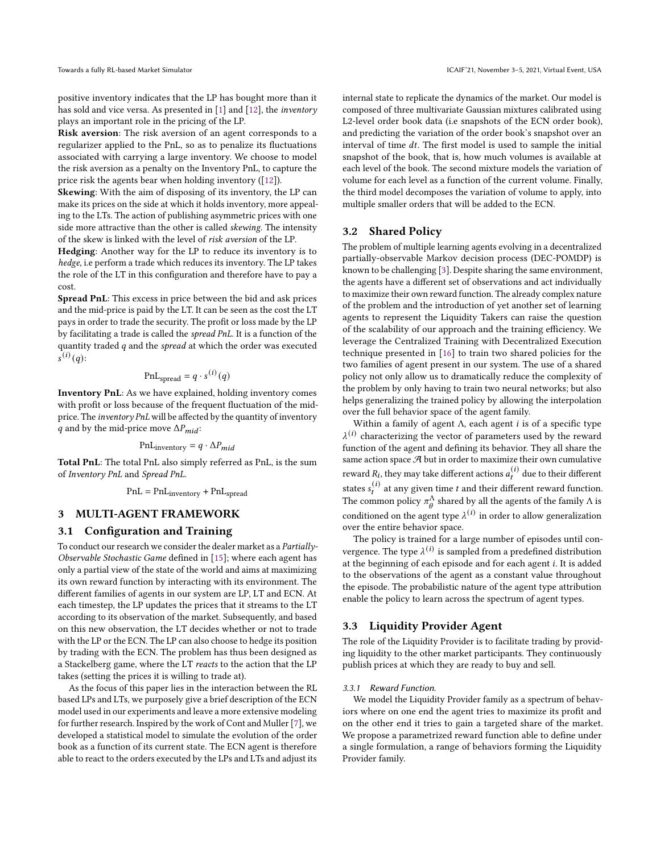positive inventory indicates that the LP has bought more than it has sold and vice versa. As presented in [\[1\]](#page-7-3) and [\[12\]](#page-7-4), the inventory plays an important role in the pricing of the LP.

Risk aversion: The risk aversion of an agent corresponds to a regularizer applied to the PnL, so as to penalize its fluctuations associated with carrying a large inventory. We choose to model the risk aversion as a penalty on the Inventory PnL, to capture the price risk the agents bear when holding inventory ([\[12\]](#page-7-4)).

Skewing: With the aim of disposing of its inventory, the LP can make its prices on the side at which it holds inventory, more appealing to the LTs. The action of publishing asymmetric prices with one side more attractive than the other is called skewing. The intensity of the skew is linked with the level of risk aversion of the LP.

Hedging: Another way for the LP to reduce its inventory is to hedge, i.e perform a trade which reduces its inventory. The LP takes the role of the LT in this configuration and therefore have to pay a cost.

Spread PnL: This excess in price between the bid and ask prices and the mid-price is paid by the LT. It can be seen as the cost the LT pays in order to trade the security. The profit or loss made by the LP by facilitating a trade is called the spread PnL. It is a function of the quantity traded  $q$  and the spread at which the order was executed  $\overline{s}^{(i)}(q)$ :

$$
\mathrm{PnL}_{\mathrm{spread}} = q \cdot s^{(i)}(q)
$$

Inventory PnL: As we have explained, holding inventory comes with profit or loss because of the frequent fluctuation of the midprice. The inventory PnL will be affected by the quantity of inventory q and by the mid-price move  $\Delta P_{mid}$ :

$$
PnL_{\text{inventory}} = q \cdot \Delta P_{mid}
$$

Total PnL: The total PnL also simply referred as PnL, is the sum of Inventory PnL and Spread PnL.

$$
PnL = PnL_{\text{inventory}} + PnL_{\text{spread}}
$$

# 3 MULTI-AGENT FRAMEWORK

# 3.1 Configuration and Training

To conduct our research we consider the dealer market as a Partially-Observable Stochastic Game defined in [\[15\]](#page-7-10); where each agent has only a partial view of the state of the world and aims at maximizing its own reward function by interacting with its environment. The different families of agents in our system are LP, LT and ECN. At each timestep, the LP updates the prices that it streams to the LT according to its observation of the market. Subsequently, and based on this new observation, the LT decides whether or not to trade with the LP or the ECN. The LP can also choose to hedge its position by trading with the ECN. The problem has thus been designed as a Stackelberg game, where the LT reacts to the action that the LP takes (setting the prices it is willing to trade at).

As the focus of this paper lies in the interaction between the RL based LPs and LTs, we purposely give a brief description of the ECN model used in our experiments and leave a more extensive modeling for further research. Inspired by the work of Cont and Muller [\[7\]](#page-7-11), we developed a statistical model to simulate the evolution of the order book as a function of its current state. The ECN agent is therefore able to react to the orders executed by the LPs and LTs and adjust its internal state to replicate the dynamics of the market. Our model is composed of three multivariate Gaussian mixtures calibrated using L2-level order book data (i.e snapshots of the ECN order book), and predicting the variation of the order book's snapshot over an interval of time  $dt$ . The first model is used to sample the initial snapshot of the book, that is, how much volumes is available at each level of the book. The second mixture models the variation of volume for each level as a function of the current volume. Finally, the third model decomposes the variation of volume to apply, into multiple smaller orders that will be added to the ECN.

## <span id="page-2-1"></span>3.2 Shared Policy

The problem of multiple learning agents evolving in a decentralized partially-observable Markov decision process (DEC-POMDP) is known to be challenging [\[3\]](#page-7-12). Despite sharing the same environment, the agents have a different set of observations and act individually to maximize their own reward function. The already complex nature of the problem and the introduction of yet another set of learning agents to represent the Liquidity Takers can raise the question of the scalability of our approach and the training efficiency. We leverage the Centralized Training with Decentralized Execution technique presented in [\[16\]](#page-7-1) to train two shared policies for the two families of agent present in our system. The use of a shared policy not only allow us to dramatically reduce the complexity of the problem by only having to train two neural networks; but also helps generalizing the trained policy by allowing the interpolation over the full behavior space of the agent family.

Within a family of agent  $\Lambda$ , each agent *i* is of a specific type  $\lambda^{(i)}$  characterizing the vector of parameters used by the reward function of the agent and defining its behavior. They all share the same action space  $\mathcal A$  but in order to maximize their own cumulative reward  $R_i$ , they may take different actions  $a_t^{(i)}$  due to their different states  $s_t^{(i)}$  at any given time t and their different reward function. The common policy  $\pi^\Lambda_\theta$  shared by all the agents of the family  $\Lambda$  is conditioned on the agent type  $\lambda^{(i)}$  in order to allow generalization over the entire behavior space.

The policy is trained for a large number of episodes until convergence. The type  $\lambda^{(i)}$  is sampled from a predefined distribution at the beginning of each episode and for each agent *i*. It is added to the observations of the agent as a constant value throughout the episode. The probabilistic nature of the agent type attribution enable the policy to learn across the spectrum of agent types.

# <span id="page-2-0"></span>3.3 Liquidity Provider Agent

The role of the Liquidity Provider is to facilitate trading by providing liquidity to the other market participants. They continuously publish prices at which they are ready to buy and sell.

#### 3.3.1 Reward Function.

We model the Liquidity Provider family as a spectrum of behaviors where on one end the agent tries to maximize its profit and on the other end it tries to gain a targeted share of the market. We propose a parametrized reward function able to define under a single formulation, a range of behaviors forming the Liquidity Provider family.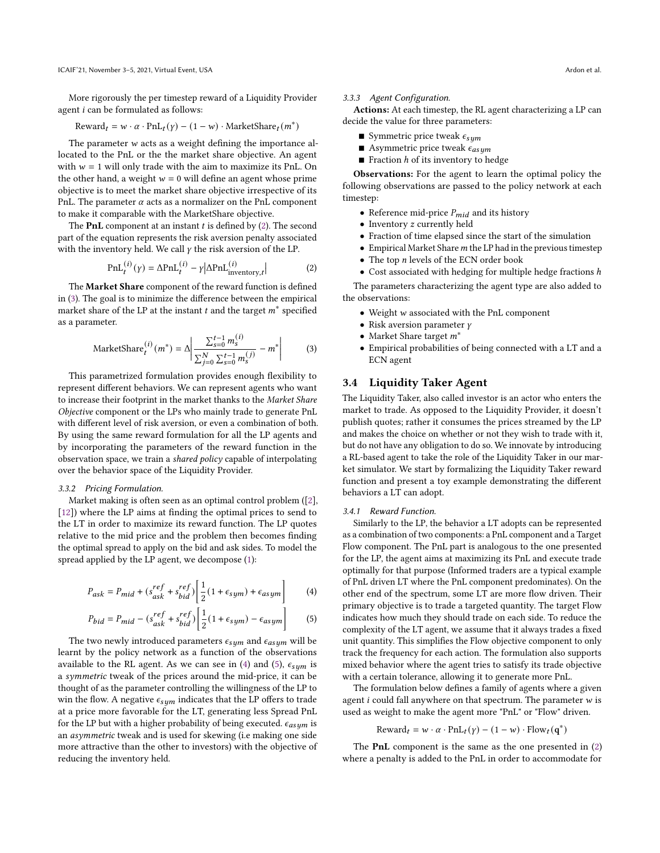More rigorously the per timestep reward of a Liquidity Provider agent  $i$  can be formulated as follows:

$$
Reward_t = w \cdot \alpha \cdot PnL_t(y) - (1 - w) \cdot MarketShare_t(m^*)
$$

The parameter  $w$  acts as a weight defining the importance allocated to the PnL or the the market share objective. An agent with  $w = 1$  will only trade with the aim to maximize its PnL. On the other hand, a weight  $w = 0$  will define an agent whose prime objective is to meet the market share objective irrespective of its PnL. The parameter  $\alpha$  acts as a normalizer on the PnL component to make it comparable with the MarketShare objective.

The PnL component at an instant  $t$  is defined by [\(2\)](#page-3-1). The second part of the equation represents the risk aversion penalty associated with the inventory held. We call  $\gamma$  the risk aversion of the LP.

<span id="page-3-1"></span>
$$
\text{PnL}_{t}^{(i)}(\gamma) = \Delta \text{PnL}_{t}^{(i)} - \gamma |\Delta \text{PnL}_{\text{inventory},t}^{(i)}|
$$
 (2)

The Market Share component of the reward function is defined in [\(3\)](#page-3-2). The goal is to minimize the difference between the empirical market share of the LP at the instant  $t$  and the target  $m^*$  specified as a parameter.

<span id="page-3-2"></span>MarketShare<sub>t</sub><sup>(i)</sup> 
$$
(m^*) = \Delta \left| \frac{\sum_{s=0}^{t-1} m_s^{(i)}}{\sum_{j=0}^{N} \sum_{s=0}^{t-1} m_s^{(j)}} - m^* \right|
$$
 (3)

This parametrized formulation provides enough flexibility to represent different behaviors. We can represent agents who want to increase their footprint in the market thanks to the Market Share Objective component or the LPs who mainly trade to generate PnL with different level of risk aversion, or even a combination of both. By using the same reward formulation for all the LP agents and by incorporating the parameters of the reward function in the observation space, we train a shared policy capable of interpolating over the behavior space of the Liquidity Provider.

#### <span id="page-3-5"></span>3.3.2 Pricing Formulation.

Market making is often seen as an optimal control problem ([\[2\]](#page-7-13), [\[12\]](#page-7-4)) where the LP aims at finding the optimal prices to send to the LT in order to maximize its reward function. The LP quotes relative to the mid price and the problem then becomes finding the optimal spread to apply on the bid and ask sides. To model the spread applied by the LP agent, we decompose [\(1\)](#page-1-1):

$$
P_{ask} = P_{mid} + (s_{ask}^{ref} + s_{bid}^{ref}) \left[ \frac{1}{2} (1 + \epsilon_{sym}) + \epsilon_{asym} \right]
$$
 (4)

$$
P_{bid} = P_{mid} - (s_{ask}^{ref} + s_{bid}^{ref}) \left[ \frac{1}{2} (1 + \epsilon_{sym}) - \epsilon_{asym} \right]
$$
 (5)

The two newly introduced parameters  $\epsilon_{sym}$  and  $\epsilon_{asym}$  will be learnt by the policy network as a function of the observations available to the RL agent. As we can see in [\(4\)](#page-3-3) and [\(5\)](#page-3-4),  $\epsilon_{sum}$  is a symmetric tweak of the prices around the mid-price, it can be thought of as the parameter controlling the willingness of the LP to win the flow. A negative  $\epsilon_{sym}$  indicates that the LP offers to trade at a price more favorable for the LT, generating less Spread PnL for the LP but with a higher probability of being executed.  $\epsilon_{asym}$  is an asymmetric tweak and is used for skewing (i.e making one side more attractive than the other to investors) with the objective of reducing the inventory held.

#### 3.3.3 Agent Configuration.

Actions: At each timestep, the RL agent characterizing a LP can decide the value for three parameters:

- **Symmetric price tweak**  $\epsilon_{sum}$
- Asymmetric price tweak  $\epsilon_{asym}$
- Fraction  $h$  of its inventory to hedge

Observations: For the agent to learn the optimal policy the following observations are passed to the policy network at each timestep:

- $\bullet\,$  Reference mid-price  $P_{mid}$  and its history
- Inventory *z* currently held
- Fraction of time elapsed since the start of the simulation
- $\bullet$  Empirical Market Share  $m$  the LP had in the previous timestep
- $\bullet$  The top *n* levels of the ECN order book
- Cost associated with hedging for multiple hedge fractions  $h$

The parameters characterizing the agent type are also added to the observations:

- $\bullet$  Weight  $w$  associated with the PnL component
- Risk aversion parameter  $\gamma$
- Market Share target  $m^*$
- Empirical probabilities of being connected with a LT and a ECN agent

# <span id="page-3-0"></span>3.4 Liquidity Taker Agent

The Liquidity Taker, also called investor is an actor who enters the market to trade. As opposed to the Liquidity Provider, it doesn't publish quotes; rather it consumes the prices streamed by the LP and makes the choice on whether or not they wish to trade with it, but do not have any obligation to do so. We innovate by introducing a RL-based agent to take the role of the Liquidity Taker in our market simulator. We start by formalizing the Liquidity Taker reward function and present a toy example demonstrating the different behaviors a LT can adopt.

#### 3.4.1 Reward Function.

<span id="page-3-3"></span>Similarly to the LP, the behavior a LT adopts can be represented as a combination of two components: a PnL component and a Target Flow component. The PnL part is analogous to the one presented for the LP, the agent aims at maximizing its PnL and execute trade optimally for that purpose (Informed traders are a typical example of PnL driven LT where the PnL component predominates). On the other end of the spectrum, some LT are more flow driven. Their primary objective is to trade a targeted quantity. The target Flow indicates how much they should trade on each side. To reduce the complexity of the LT agent, we assume that it always trades a fixed unit quantity. This simplifies the Flow objective component to only track the frequency for each action. The formulation also supports mixed behavior where the agent tries to satisfy its trade objective with a certain tolerance, allowing it to generate more PnL.

<span id="page-3-4"></span>The formulation below defines a family of agents where a given agent  $i$  could fall anywhere on that spectrum. The parameter  $w$  is used as weight to make the agent more "PnL" or "Flow" driven.

$$
Reward_t = w \cdot \alpha \cdot \text{PnL}_{t}(y) - (1 - w) \cdot \text{Flow}_{t}(q^*)
$$

The PnL component is the same as the one presented in [\(2\)](#page-3-1) where a penalty is added to the PnL in order to accommodate for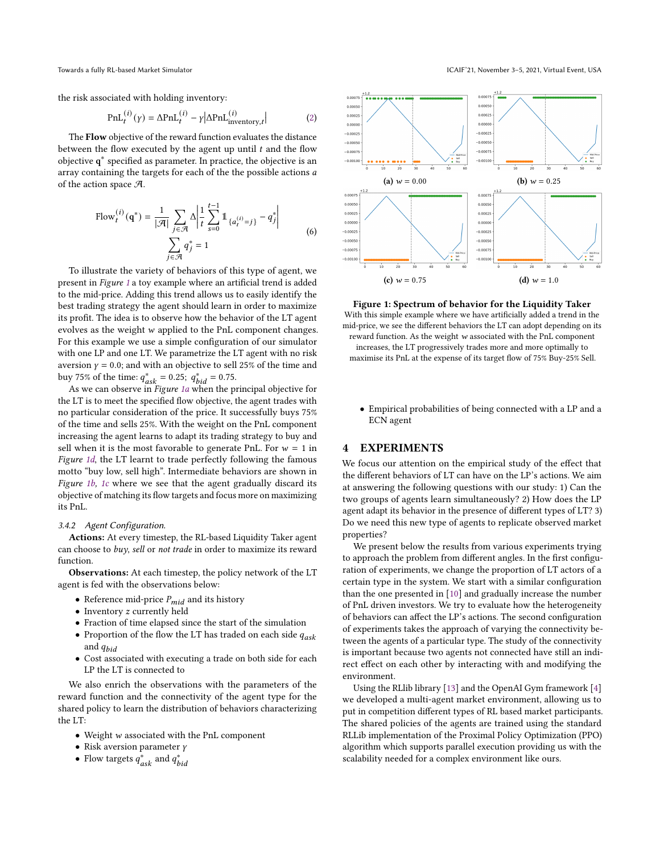the risk associated with holding inventory:

$$
PnL_t^{(i)}(\gamma) = \Delta PnL_t^{(i)} - \gamma |\Delta PnL_{\text{inventory},t}^{(i)}|
$$
 (2)

The Flow objective of the reward function evaluates the distance between the flow executed by the agent up until  $t$  and the flow objective q ∗ specified as parameter. In practice, the objective is an array containing the targets for each of the the possible actions a of the action space  $\mathcal{A}$ .

Flow<sub>t</sub><sup>(i)</sup> (q<sup>\*</sup>) = 
$$
\frac{1}{|\mathcal{A}|} \sum_{j \in \mathcal{A}} \Delta \left| \frac{1}{t} \sum_{s=0}^{t-1} 1 \mathbb{1}_{\{a_t^{(i)} = j\}} - q_j^* \right|
$$
  

$$
\sum_{j \in \mathcal{A}} q_j^* = 1
$$
 (6)

To illustrate the variety of behaviors of this type of agent, we present in Figure [1](#page-4-1) a toy example where an artificial trend is added to the mid-price. Adding this trend allows us to easily identify the best trading strategy the agent should learn in order to maximize its profit. The idea is to observe how the behavior of the LT agent evolves as the weight  $w$  applied to the PnL component changes. For this example we use a simple configuration of our simulator with one LP and one LT. We parametrize the LT agent with no risk aversion  $\gamma = 0.0$ ; and with an objective to sell 25% of the time and buy 75% of the time:  $q_{ask}^* = 0.25$ ;  $q_{bid}^* = 0.75$ .

As we can observe in Figure [1a](#page-4-1) when the principal objective for the LT is to meet the specified flow objective, the agent trades with no particular consideration of the price. It successfully buys 75% of the time and sells 25%. With the weight on the PnL component increasing the agent learns to adapt its trading strategy to buy and sell when it is the most favorable to generate PnL. For  $w = 1$  in Figure [1d](#page-4-1), the LT learnt to trade perfectly following the famous motto "buy low, sell high". Intermediate behaviors are shown in Figure [1b,](#page-4-1) [1c](#page-4-1) where we see that the agent gradually discard its objective of matching its flow targets and focus more on maximizing its PnL.

#### 3.4.2 Agent Configuration.

Actions: At every timestep, the RL-based Liquidity Taker agent can choose to buy, sell or not trade in order to maximize its reward function.

Observations: At each timestep, the policy network of the LT agent is fed with the observations below:

- Reference mid-price  $P_{mid}$  and its history
- Inventory *z* currently held
- Fraction of time elapsed since the start of the simulation
- Proportion of the flow the LT has traded on each side  $q_{ask}$ and  $q_{bid}$
- Cost associated with executing a trade on both side for each LP the LT is connected to

We also enrich the observations with the parameters of the reward function and the connectivity of the agent type for the shared policy to learn the distribution of behaviors characterizing the LT:

- Weight w associated with the PnL component
- Risk aversion parameter  $\gamma$
- Flow targets  $q_{ask}^*$  and  $q_{bid}^*$

<span id="page-4-1"></span>

Figure 1: Spectrum of behavior for the Liquidity Taker With this simple example where we have artificially added a trend in the mid-price, we see the different behaviors the LT can adopt depending on its reward function. As the weight  $w$  associated with the PnL component increases, the LT progressively trades more and more optimally to maximise its PnL at the expense of its target flow of 75% Buy-25% Sell.

• Empirical probabilities of being connected with a LP and a ECN agent

# <span id="page-4-0"></span>4 EXPERIMENTS

We focus our attention on the empirical study of the effect that the different behaviors of LT can have on the LP's actions. We aim at answering the following questions with our study: 1) Can the two groups of agents learn simultaneously? 2) How does the LP agent adapt its behavior in the presence of different types of LT? 3) Do we need this new type of agents to replicate observed market properties?

We present below the results from various experiments trying to approach the problem from different angles. In the first configuration of experiments, we change the proportion of LT actors of a certain type in the system. We start with a similar configuration than the one presented in [\[10\]](#page-7-0) and gradually increase the number of PnL driven investors. We try to evaluate how the heterogeneity of behaviors can affect the LP's actions. The second configuration of experiments takes the approach of varying the connectivity between the agents of a particular type. The study of the connectivity is important because two agents not connected have still an indirect effect on each other by interacting with and modifying the environment.

Using the RLlib library [\[13\]](#page-7-14) and the OpenAI Gym framework [\[4\]](#page-7-15) we developed a multi-agent market environment, allowing us to put in competition different types of RL based market participants. The shared policies of the agents are trained using the standard RLLib implementation of the Proximal Policy Optimization (PPO) algorithm which supports parallel execution providing us with the scalability needed for a complex environment like ours.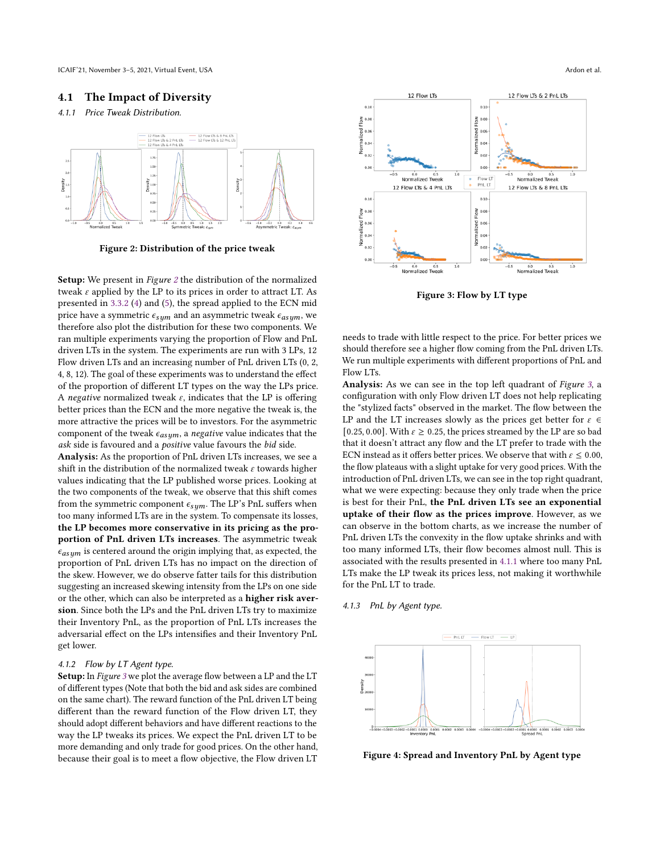ICAIF'21, November 3-5, 2021, Virtual Event, USA and the Same of al. and the Same of al. and the Same of al. and the Same of al. and the Same of al. Ardon et al.

# 4.1 The Impact of Diversity

# <span id="page-5-2"></span>4.1.1 Price Tweak Distribution.

<span id="page-5-0"></span>

Figure 2: Distribution of the price tweak

Setup: We present in Figure [2](#page-5-0) the distribution of the normalized tweak  $\varepsilon$  applied by the LP to its prices in order to attract LT. As presented in [3.3.2](#page-3-5) [\(4\)](#page-3-3) and [\(5\)](#page-3-4), the spread applied to the ECN mid price have a symmetric  $\epsilon_{sum}$  and an asymmetric tweak  $\epsilon_{asum}$ , we therefore also plot the distribution for these two components. We ran multiple experiments varying the proportion of Flow and PnL driven LTs in the system. The experiments are run with 3 LPs, 12 Flow driven LTs and an increasing number of PnL driven LTs (0, 2, 4, 8, 12). The goal of these experiments was to understand the effect of the proportion of different LT types on the way the LPs price. A negative normalized tweak  $\varepsilon$ , indicates that the LP is offering better prices than the ECN and the more negative the tweak is, the more attractive the prices will be to investors. For the asymmetric component of the tweak  $\epsilon_{asym}$ , a negative value indicates that the ask side is favoured and a positive value favours the bid side.

Analysis: As the proportion of PnL driven LTs increases, we see a shift in the distribution of the normalized tweak  $\varepsilon$  towards higher values indicating that the LP published worse prices. Looking at the two components of the tweak, we observe that this shift comes from the symmetric component  $\epsilon_{sym}$ . The LP's PnL suffers when too many informed LTs are in the system. To compensate its losses, the LP becomes more conservative in its pricing as the proportion of PnL driven LTs increases. The asymmetric tweak  $\epsilon_{asum}$  is centered around the origin implying that, as expected, the proportion of PnL driven LTs has no impact on the direction of the skew. However, we do observe fatter tails for this distribution suggesting an increased skewing intensity from the LPs on one side or the other, which can also be interpreted as a higher risk aversion. Since both the LPs and the PnL driven LTs try to maximize their Inventory PnL, as the proportion of PnL LTs increases the adversarial effect on the LPs intensifies and their Inventory PnL get lower.

# 4.1.2 Flow by LT Agent type.

Setup: In Figure [3](#page-5-1) we plot the average flow between a LP and the LT of different types (Note that both the bid and ask sides are combined on the same chart). The reward function of the PnL driven LT being different than the reward function of the Flow driven LT, they should adopt different behaviors and have different reactions to the way the LP tweaks its prices. We expect the PnL driven LT to be more demanding and only trade for good prices. On the other hand, because their goal is to meet a flow objective, the Flow driven LT

<span id="page-5-1"></span>

Figure 3: Flow by LT type

needs to trade with little respect to the price. For better prices we should therefore see a higher flow coming from the PnL driven LTs. We run multiple experiments with different proportions of PnL and Flow LTs.

Analysis: As we can see in the top left quadrant of Figure [3](#page-5-1), a configuration with only Flow driven LT does not help replicating the "stylized facts" observed in the market. The flow between the LP and the LT increases slowly as the prices get better for  $\varepsilon \in$ [0.25, 0.00]. With  $\varepsilon \ge 0.25$ , the prices streamed by the LP are so bad that it doesn't attract any flow and the LT prefer to trade with the ECN instead as it offers better prices. We observe that with  $\varepsilon \leq 0.00$ , the flow plateaus with a slight uptake for very good prices. With the introduction of PnL driven LTs, we can see in the top right quadrant, what we were expecting: because they only trade when the price is best for their PnL, the PnL driven LTs see an exponential uptake of their flow as the prices improve. However, as we can observe in the bottom charts, as we increase the number of PnL driven LTs the convexity in the flow uptake shrinks and with too many informed LTs, their flow becomes almost null. This is associated with the results presented in [4.1.1](#page-5-2) where too many PnL LTs make the LP tweak its prices less, not making it worthwhile for the PnL LT to trade.

## 4.1.3 PnL by Agent type.

<span id="page-5-3"></span>

Figure 4: Spread and Inventory PnL by Agent type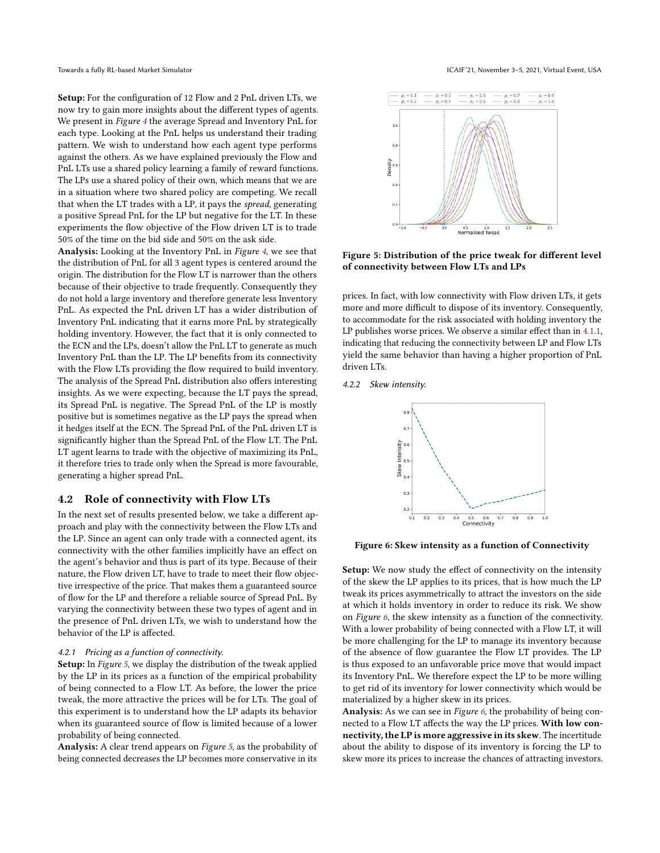Setup: For the configuration of 12 Flow and 2 PnL driven LTs, we now try to gain more insights about the different types of agents. We present in Figure [4](#page-5-3) the average Spread and Inventory PnL for each type. Looking at the PnL helps us understand their trading pattern. We wish to understand how each agent type performs against the others. As we have explained previously the Flow and PnL LTs use a shared policy learning a family of reward functions. The LPs use a shared policy of their own, which means that we are in a situation where two shared policy are competing. We recall that when the LT trades with a LP, it pays the spread, generating a positive Spread PnL for the LP but negative for the LT. In these experiments the flow objective of the Flow driven LT is to trade 50% of the time on the bid side and 50% on the ask side.

Analysis: Looking at the Inventory PnL in Figure [4](#page-5-3), we see that the distribution of PnL for all 3 agent types is centered around the origin. The distribution for the Flow LT is narrower than the others because of their objective to trade frequently. Consequently they do not hold a large inventory and therefore generate less Inventory PnL. As expected the PnL driven LT has a wider distribution of Inventory PnL indicating that it earns more PnL by strategically holding inventory. However, the fact that it is only connected to the ECN and the LPs, doesn't allow the PnL LT to generate as much Inventory PnL than the LP. The LP benefits from its connectivity with the Flow LTs providing the flow required to build inventory. The analysis of the Spread PnL distribution also offers interesting insights. As we were expecting, because the LT pays the spread, its Spread PnL is negative. The Spread PnL of the LP is mostly positive but is sometimes negative as the LP pays the spread when it hedges itself at the ECN. The Spread PnL of the PnL driven LT is significantly higher than the Spread PnL of the Flow LT. The PnL LT agent learns to trade with the objective of maximizing its PnL, it therefore tries to trade only when the Spread is more favourable, generating a higher spread PnL.

### 4.2 Role of connectivity with Flow LTs

In the next set of results presented below, we take a different approach and play with the connectivity between the Flow LTs and the LP. Since an agent can only trade with a connected agent, its connectivity with the other families implicitly have an effect on the agent's behavior and thus is part of its type. Because of their nature, the Flow driven LT, have to trade to meet their flow objective irrespective of the price. That makes them a guaranteed source of flow for the LP and therefore a reliable source of Spread PnL. By varying the connectivity between these two types of agent and in the presence of PnL driven LTs, we wish to understand how the behavior of the LP is affected.

#### 4.2.1 Pricing as a function of connectivity.

Setup: In Figure [5](#page-6-0), we display the distribution of the tweak applied by the LP in its prices as a function of the empirical probability of being connected to a Flow LT. As before, the lower the price tweak, the more attractive the prices will be for LTs. The goal of this experiment is to understand how the LP adapts its behavior when its guaranteed source of flow is limited because of a lower probability of being connected.

Analysis: A clear trend appears on Figure [5](#page-6-0), as the probability of being connected decreases the LP becomes more conservative in its

<span id="page-6-0"></span>

Figure 5: Distribution of the price tweak for different level of connectivity between Flow LTs and LPs

prices. In fact, with low connectivity with Flow driven LTs, it gets more and more difficult to dispose of its inventory. Consequently, to accommodate for the risk associated with holding inventory the LP publishes worse prices. We observe a similar effect than in [4.1.1,](#page-5-2) indicating that reducing the connectivity between LP and Flow LTs yield the same behavior than having a higher proportion of PnL driven LTs.

<span id="page-6-1"></span>4.2.2 Skew intensity.



Figure 6: Skew intensity as a function of Connectivity

Setup: We now study the effect of connectivity on the intensity of the skew the LP applies to its prices, that is how much the LP tweak its prices asymmetrically to attract the investors on the side at which it holds inventory in order to reduce its risk. We show on Figure [6](#page-6-1), the skew intensity as a function of the connectivity. With a lower probability of being connected with a Flow LT, it will be more challenging for the LP to manage its inventory because of the absence of flow guarantee the Flow LT provides. The LP is thus exposed to an unfavorable price move that would impact its Inventory PnL. We therefore expect the LP to be more willing to get rid of its inventory for lower connectivity which would be materialized by a higher skew in its prices.

Analysis: As we can see in Figure [6](#page-6-1), the probability of being connected to a Flow LT affects the way the LP prices. With low connectivity, the LP is more aggressive in its skew. The incertitude about the ability to dispose of its inventory is forcing the LP to skew more its prices to increase the chances of attracting investors.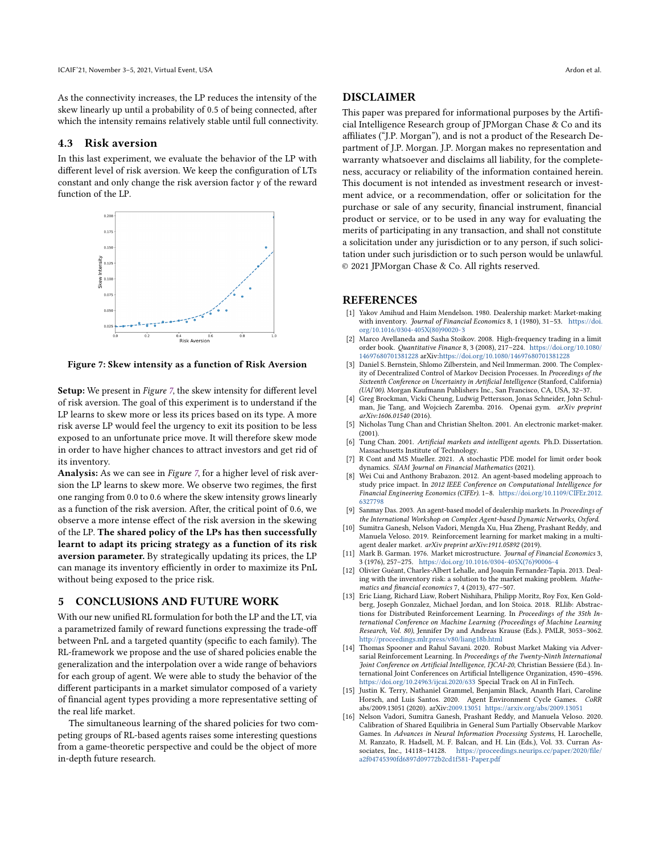As the connectivity increases, the LP reduces the intensity of the skew linearly up until a probability of 0.5 of being connected, after which the intensity remains relatively stable until full connectivity.

# 4.3 Risk aversion

In this last experiment, we evaluate the behavior of the LP with different level of risk aversion. We keep the configuration of LTs constant and only change the risk aversion factor  $\gamma$  of the reward function of the LP.

<span id="page-7-16"></span>

Figure 7: Skew intensity as a function of Risk Aversion

Setup: We present in Figure [7](#page-7-16), the skew intensity for different level of risk aversion. The goal of this experiment is to understand if the LP learns to skew more or less its prices based on its type. A more risk averse LP would feel the urgency to exit its position to be less exposed to an unfortunate price move. It will therefore skew mode in order to have higher chances to attract investors and get rid of its inventory.

Analysis: As we can see in Figure [7](#page-7-16), for a higher level of risk aversion the LP learns to skew more. We observe two regimes, the first one ranging from 0.0 to 0.6 where the skew intensity grows linearly as a function of the risk aversion. After, the critical point of 0.6, we observe a more intense effect of the risk aversion in the skewing of the LP. The shared policy of the LPs has then successfully learnt to adapt its pricing strategy as a function of its risk aversion parameter. By strategically updating its prices, the LP can manage its inventory efficiently in order to maximize its PnL without being exposed to the price risk.

# 5 CONCLUSIONS AND FUTURE WORK

With our new unified RL formulation for both the LP and the LT, via a parametrized family of reward functions expressing the trade-off between PnL and a targeted quantity (specific to each family). The RL-framework we propose and the use of shared policies enable the generalization and the interpolation over a wide range of behaviors for each group of agent. We were able to study the behavior of the different participants in a market simulator composed of a variety of financial agent types providing a more representative setting of the real life market.

The simultaneous learning of the shared policies for two competing groups of RL-based agents raises some interesting questions from a game-theoretic perspective and could be the object of more in-depth future research.

## DISCLAIMER

This paper was prepared for informational purposes by the Artificial Intelligence Research group of JPMorgan Chase & Co and its affiliates ("J.P. Morgan"), and is not a product of the Research Department of J.P. Morgan. J.P. Morgan makes no representation and warranty whatsoever and disclaims all liability, for the completeness, accuracy or reliability of the information contained herein. This document is not intended as investment research or investment advice, or a recommendation, offer or solicitation for the purchase or sale of any security, financial instrument, financial product or service, or to be used in any way for evaluating the merits of participating in any transaction, and shall not constitute a solicitation under any jurisdiction or to any person, if such solicitation under such jurisdiction or to such person would be unlawful. © 2021 JPMorgan Chase & Co. All rights reserved.

# **REFERENCES**

- <span id="page-7-3"></span>[1] Yakov Amihud and Haim Mendelson. 1980. Dealership market: Market-making with inventory. Journal of Financial Economics 8, 1 (1980), 31-53. [https://doi.](https://doi.org/10.1016/0304-405X(80)90020-3) [org/10.1016/0304-405X\(80\)90020-3](https://doi.org/10.1016/0304-405X(80)90020-3)
- <span id="page-7-13"></span>[2] Marco Avellaneda and Sasha Stoikov. 2008. High-frequency trading in a limit order book. Quantitative Finance 8, 3 (2008), 217–224. [https://doi.org/10.1080/](https://doi.org/10.1080/14697680701381228) [14697680701381228](https://doi.org/10.1080/14697680701381228) arXiv[:https://doi.org/10.1080/14697680701381228](https://arxiv.org/abs/https://doi.org/10.1080/14697680701381228)
- <span id="page-7-12"></span>[3] Daniel S. Bernstein, Shlomo Zilberstein, and Neil Immerman. 2000. The Complexity of Decentralized Control of Markov Decision Processes. In Proceedings of the Sixteenth Conference on Uncertainty in Artificial Intelligence (Stanford, California) (UAI'00). Morgan Kaufmann Publishers Inc., San Francisco, CA, USA, 32–37.
- <span id="page-7-15"></span>[4] Greg Brockman, Vicki Cheung, Ludwig Pettersson, Jonas Schneider, John Schul-man, Jie Tang, and Wojciech Zaremba. 2016. Openai gym. arXiv preprint arXiv:1606.01540 (2016).
- <span id="page-7-8"></span>[5] Nicholas Tung Chan and Christian Shelton. 2001. An electronic market-maker. (2001).
- <span id="page-7-7"></span>[6] Tung Chan. 2001. Artificial markets and intelligent agents. Ph.D. Dissertation. Massachusetts Institute of Technology.
- <span id="page-7-11"></span>[7] R Cont and MS Mueller. 2021. A stochastic PDE model for limit order book dynamics. SIAM Journal on Financial Mathematics (2021).
- <span id="page-7-6"></span>[8] Wei Cui and Anthony Brabazon. 2012. An agent-based modeling approach to study price impact. In 2012 IEEE Conference on Computational Intelligence for Financial Engineering Economics (CIFEr). 1–8. [https://doi.org/10.1109/CIFEr.2012.](https://doi.org/10.1109/CIFEr.2012.6327798) [6327798](https://doi.org/10.1109/CIFEr.2012.6327798)
- <span id="page-7-5"></span>[9] Sanmay Das. 2003. An agent-based model of dealership markets. In Proceedings of the International Workshop on Complex Agent-based Dynamic Networks, Oxford.
- <span id="page-7-0"></span>[10] Sumitra Ganesh, Nelson Vadori, Mengda Xu, Hua Zheng, Prashant Reddy, and Manuela Veloso. 2019. Reinforcement learning for market making in a multiagent dealer market. arXiv preprint arXiv:1911.05892 (2019).
- <span id="page-7-2"></span>[11] Mark B. Garman. 1976. Market microstructure. Journal of Financial Economics 3, 3 (1976), 257–275. [https://doi.org/10.1016/0304-405X\(76\)90006-4](https://doi.org/10.1016/0304-405X(76)90006-4)
- <span id="page-7-4"></span>[12] Olivier Guéant, Charles-Albert Lehalle, and Joaquin Fernandez-Tapia. 2013. Dealing with the inventory risk: a solution to the market making problem. Mathematics and financial economics 7, 4 (2013), 477–507.
- <span id="page-7-14"></span>[13] Eric Liang, Richard Liaw, Robert Nishihara, Philipp Moritz, Roy Fox, Ken Goldberg, Joseph Gonzalez, Michael Jordan, and Ion Stoica. 2018. RLlib: Abstractions for Distributed Reinforcement Learning. In Proceedings of the 35th International Conference on Machine Learning (Proceedings of Machine Learning Research, Vol. 80), Jennifer Dy and Andreas Krause (Eds.). PMLR, 3053–3062. <http://proceedings.mlr.press/v80/liang18b.html>
- <span id="page-7-9"></span>[14] Thomas Spooner and Rahul Savani. 2020. Robust Market Making via Adversarial Reinforcement Learning. In Proceedings of the Twenty-Ninth International Joint Conference on Artificial Intelligence, IJCAI-20, Christian Bessiere (Ed.). International Joint Conferences on Artificial Intelligence Organization, 4590–4596. <https://doi.org/10.24963/ijcai.2020/633> Special Track on AI in FinTech.
- <span id="page-7-10"></span>[15] Justin K. Terry, Nathaniel Grammel, Benjamin Black, Ananth Hari, Caroline Horsch, and Luis Santos. 2020. Agent Environment Cycle Games. CoRR abs/2009.13051 (2020). arXiv[:2009.13051](https://arxiv.org/abs/2009.13051) <https://arxiv.org/abs/2009.13051>
- <span id="page-7-1"></span>[16] Nelson Vadori, Sumitra Ganesh, Prashant Reddy, and Manuela Veloso. 2020. Calibration of Shared Equilibria in General Sum Partially Observable Markov Games. In Advances in Neural Information Processing Systems, H. Larochelle, M. Ranzato, R. Hadsell, M. F. Balcan, and H. Lin (Eds.), Vol. 33. Curran Associates, Inc., 14118–14128. [https://proceedings.neurips.cc/paper/2020/file/](https://proceedings.neurips.cc/paper/2020/file/a2f04745390fd6897d09772b2cd1f581-Paper.pdf) [a2f04745390fd6897d09772b2cd1f581-Paper.pdf](https://proceedings.neurips.cc/paper/2020/file/a2f04745390fd6897d09772b2cd1f581-Paper.pdf)